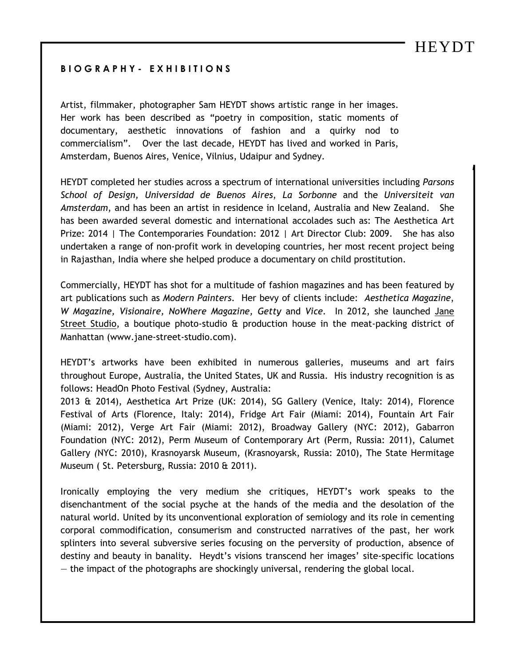## **B I O G R A P H Y - E X H I B I T I O N S**

Artist, filmmaker, photographer Sam HEYDT shows artistic range in her images. Her work has been described as "poetry in composition, static moments of documentary, aesthetic innovations of fashion and a quirky nod to commercialism". Over the last decade, HEYDT has lived and worked in Paris, Amsterdam, Buenos Aires, Venice, Vilnius, Udaipur and Sydney.

HEYDT completed her studies across a spectrum of international universities including *Parsons School of Design, Universidad de Buenos Aires*, *La Sorbonne* and the *Universiteit van Amsterdam*, and has been an artist in residence in Iceland, Australia and New Zealand. She has been awarded several domestic and international accolades such as: The Aesthetica Art Prize: 2014 | The Contemporaries Foundation: 2012 | Art Director Club: 2009. She has also undertaken a range of non-profit work in developing countries, her most recent project being in Rajasthan, India where she helped produce a documentary on child prostitution.

Commercially, HEYDT has shot for a multitude of fashion magazines and has been featured by art publications such as *Modern Painters*. Her bevy of clients include: *Aesthetica Magazine*, *W Magazine, Visionaire, NoWhere Magazine, Getty* and *Vice*. In 2012, she launched Jane Street Studio, a boutique photo-studio & production house in the meat-packing district of Manhattan [\(www.jane-street-studio.com\)](http://www.jane-street-studio.com/).

HEYDT's artworks have been exhibited in numerous galleries, museums and art fairs throughout Europe, Australia, the United States, UK and Russia. His industry recognition is as follows: HeadOn Photo Festival (Sydney, Australia:

2013 & 2014), Aesthetica Art Prize (UK: 2014), SG Gallery (Venice, Italy: 2014), Florence Festival of Arts (Florence, Italy: 2014), Fridge Art Fair (Miami: 2014), Fountain Art Fair (Miami: 2012), Verge Art Fair (Miami: 2012), Broadway Gallery (NYC: 2012), Gabarron Foundation (NYC: 2012), Perm Museum of Contemporary Art (Perm, Russia: 2011), Calumet Gallery *(*NYC: 2010), Krasnoyarsk Museum*,* (Krasnoyarsk, Russia: 2010), The State Hermitage Museum ( St. Petersburg, Russia: 2010 & 2011).

Ironically employing the very medium she critiques, HEYDT's work speaks to the disenchantment of the social psyche at the hands of the media and the desolation of the natural world. United by its unconventional exploration of semiology and its role in cementing corporal commodification, consumerism and constructed narratives of the past, her work splinters into several subversive series focusing on the perversity of production, absence of destiny and beauty in banality. Heydt's visions transcend her images' site-specific locations — the impact of the photographs are shockingly universal, rendering the global local.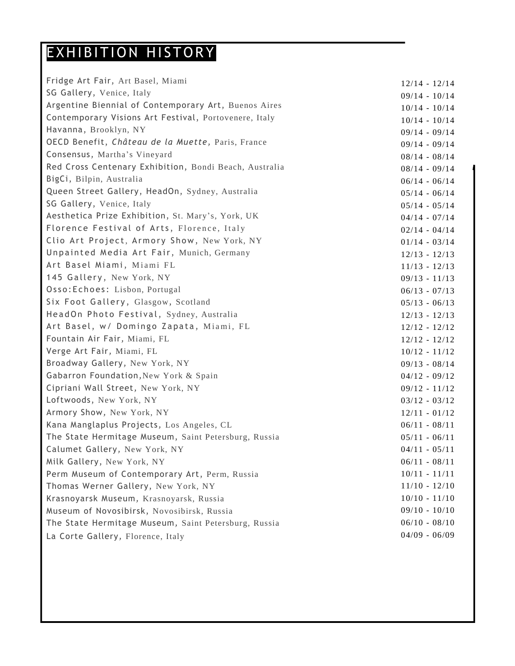## EXHIBITION HISTORY

| Fridge Art Fair, Art Basel, Miami                      | $12/14 - 12/14$ |
|--------------------------------------------------------|-----------------|
| SG Gallery, Venice, Italy                              | $09/14 - 10/14$ |
| Argentine Biennial of Contemporary Art, Buenos Aires   | $10/14 - 10/14$ |
| Contemporary Visions Art Festival, Portovenere, Italy  | $10/14 - 10/14$ |
| Havanna, Brooklyn, NY                                  | $09/14 - 09/14$ |
| OECD Benefit, Château de la Muette, Paris, France      | $09/14 - 09/14$ |
| Consensus, Martha's Vineyard                           | $08/14 - 08/14$ |
| Red Cross Centenary Exhibition, Bondi Beach, Australia | $08/14 - 09/14$ |
| BigCi, Bilpin, Australia                               | $06/14 - 06/14$ |
| Queen Street Gallery, HeadOn, Sydney, Australia        | $05/14 - 06/14$ |
| SG Gallery, Venice, Italy                              | $05/14 - 05/14$ |
| Aesthetica Prize Exhibition, St. Mary's, York, UK      | $04/14 - 07/14$ |
| Florence Festival of Arts, Florence, Italy             | $02/14 - 04/14$ |
| Clio Art Project, Armory Show, New York, NY            | $01/14 - 03/14$ |
| Unpainted Media Art Fair, Munich, Germany              | $12/13 - 12/13$ |
| Art Basel Miami, Miami FL                              | $11/13 - 12/13$ |
| 145 Gallery, New York, NY                              | $09/13 - 11/13$ |
| Osso: Echoes: Lisbon, Portugal                         | $06/13 - 07/13$ |
| Six Foot Gallery, Glasgow, Scotland                    | $05/13 - 06/13$ |
| HeadOn Photo Festival, Sydney, Australia               | $12/13 - 12/13$ |
| Art Basel, w/ Domingo Zapata, Miami, FL                | $12/12 - 12/12$ |
| Fountain Air Fair, Miami, FL                           | $12/12 - 12/12$ |
| Verge Art Fair, Miami, FL                              | $10/12 - 11/12$ |
| Broadway Gallery, New York, NY                         | $09/13 - 08/14$ |
| Gabarron Foundation, New York & Spain                  | $04/12 - 09/12$ |
| Cipriani Wall Street, New York, NY                     | $09/12 - 11/12$ |
| Loftwoods, New York, NY                                | $03/12 - 03/12$ |
| Armory Show, New York, NY                              | $12/11 - 01/12$ |
| Kana Manglaplus Projects, Los Angeles, CL              | $06/11 - 08/11$ |
| The State Hermitage Museum, Saint Petersburg, Russia   | $05/11 - 06/11$ |
| Calumet Gallery, New York, NY                          | $04/11 - 05/11$ |
| Milk Gallery, New York, NY                             | $06/11 - 08/11$ |
| Perm Museum of Contemporary Art, Perm, Russia          | $10/11 - 11/11$ |
| Thomas Werner Gallery, New York, NY                    | $11/10 - 12/10$ |
| Krasnoyarsk Museum, Krasnoyarsk, Russia                | $10/10 - 11/10$ |
| Museum of Novosibirsk, Novosibirsk, Russia             | $09/10 - 10/10$ |
| The State Hermitage Museum, Saint Petersburg, Russia   | $06/10 - 08/10$ |
| La Corte Gallery, Florence, Italy                      | $04/09 - 06/09$ |